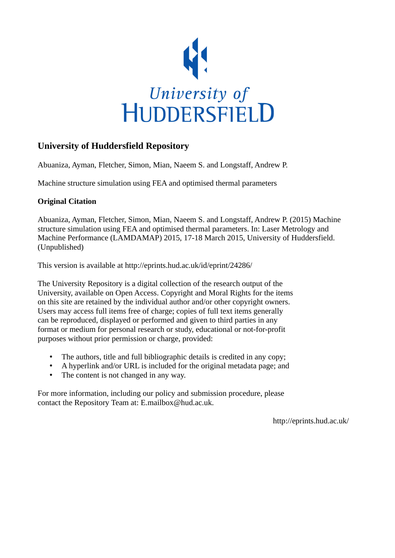

## **University of Huddersfield Repository**

Abuaniza, Ayman, Fletcher, Simon, Mian, Naeem S. and Longstaff, Andrew P.

Machine structure simulation using FEA and optimised thermal parameters

## **Original Citation**

Abuaniza, Ayman, Fletcher, Simon, Mian, Naeem S. and Longstaff, Andrew P. (2015) Machine structure simulation using FEA and optimised thermal parameters. In: Laser Metrology and Machine Performance (LAMDAMAP) 2015, 17-18 March 2015, University of Huddersfield. (Unpublished)

This version is available at http://eprints.hud.ac.uk/id/eprint/24286/

The University Repository is a digital collection of the research output of the University, available on Open Access. Copyright and Moral Rights for the items on this site are retained by the individual author and/or other copyright owners. Users may access full items free of charge; copies of full text items generally can be reproduced, displayed or performed and given to third parties in any format or medium for personal research or study, educational or not-for-profit purposes without prior permission or charge, provided:

- The authors, title and full bibliographic details is credited in any copy;
- A hyperlink and/or URL is included for the original metadata page; and
- The content is not changed in any way.

For more information, including our policy and submission procedure, please contact the Repository Team at: E.mailbox@hud.ac.uk.

http://eprints.hud.ac.uk/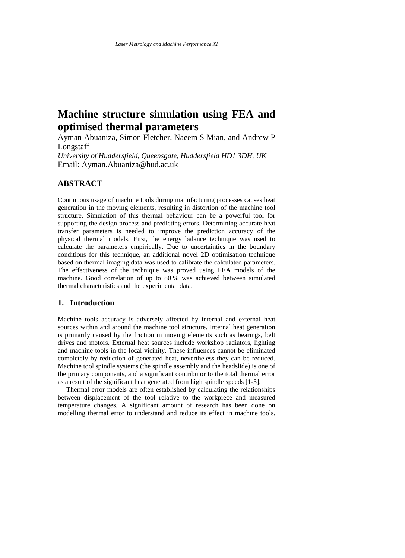# **Machine structure simulation using FEA and optimised thermal parameters**

Ayman Abuaniza, Simon Fletcher, Naeem S Mian, and Andrew P Longstaff

*University of Huddersfield, Queensgate, Huddersfield HD1 3DH, UK* Email: Ayman.Abuaniza@hud.ac.uk

## **ABSTRACT**

Continuous usage of machine tools during manufacturing processes causes heat generation in the moving elements, resulting in distortion of the machine tool structure. Simulation of this thermal behaviour can be a powerful tool for supporting the design process and predicting errors. Determining accurate heat transfer parameters is needed to improve the prediction accuracy of the physical thermal models. First, the energy balance technique was used to calculate the parameters empirically. Due to uncertainties in the boundary conditions for this technique, an additional novel 2D optimisation technique based on thermal imaging data was used to calibrate the calculated parameters. The effectiveness of the technique was proved using FEA models of the machine. Good correlation of up to 80 % was achieved between simulated thermal characteristics and the experimental data.

## **1. Introduction**

Machine tools accuracy is adversely affected by internal and external heat sources within and around the machine tool structure. Internal heat generation is primarily caused by the friction in moving elements such as bearings, belt drives and motors. External heat sources include workshop radiators, lighting and machine tools in the local vicinity. These influences cannot be eliminated completely by reduction of generated heat, nevertheless they can be reduced. Machine tool spindle systems (the spindle assembly and the headslide) is one of the primary components, and a significant contributor to the total thermal error as a result of the significant heat generated from high spindle speeds [\[1-3\]](#page-9-0).

 Thermal error models are often established by calculating the relationships between displacement of the tool relative to the workpiece and measured temperature changes. A significant amount of research has been done on modelling thermal error to understand and reduce its effect in machine tools.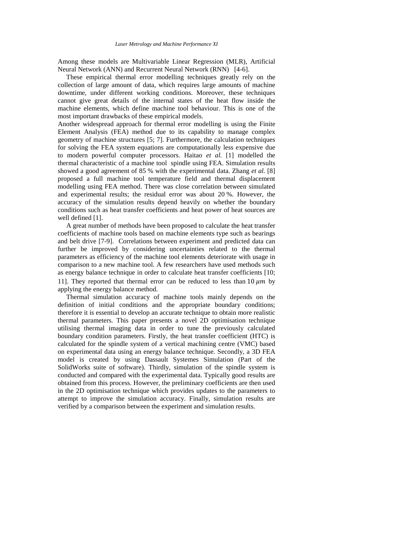Among these models are Multivariable Linear Regression (MLR), Artificial Neural Network (ANN) and Recurrent Neural Network (RNN) [\[4-6\]](#page-9-1).

 These empirical thermal error modelling techniques greatly rely on the collection of large amount of data, which requires large amounts of machine downtime, under different working conditions. Moreover, these techniques cannot give great details of the internal states of the heat flow inside the machine elements, which define machine tool behaviour. This is one of the most important drawbacks of these empirical models.

Another widespread approach for thermal error modelling is using the Finite Element Analysis (FEA) method due to its capability to manage complex geometry of machine structures [\[5;](#page-9-2) [7\]](#page-9-3). Furthermore, the calculation techniques for solving the FEA system equations are computationally less expensive due to modern powerful computer processors. Haitao *et al.* [\[1\]](#page-9-0) modelled the thermal characteristic of a machine tool spindle using FEA. Simulation results showed a good agreement of 85 % with the experimental data. Zhang *et al.* [\[8\]](#page-10-0) proposed a full machine tool temperature field and thermal displacement modelling using FEA method. There was close correlation between simulated and experimental results; the residual error was about 20 %. However, the accuracy of the simulation results depend heavily on whether the boundary conditions such as heat transfer coefficients and heat power of heat sources are well defined [\[1\]](#page-9-0).

 A great number of methods have been proposed to calculate the heat transfer coefficients of machine tools based on machine elements type such as bearings and belt drive [\[7-9\]](#page-9-3). Correlations between experiment and predicted data can further be improved by considering uncertainties related to the thermal parameters as efficiency of the machine tool elements deteriorate with usage in comparison to a new machine tool. A few researchers have used methods such as energy balance technique in order to calculate heat transfer coefficients [\[10;](#page-10-1) [11\]](#page-10-2). They reported that thermal error can be reduced to less than 10  $\mu$ m by applying the energy balance method.

 Thermal simulation accuracy of machine tools mainly depends on the definition of initial conditions and the appropriate boundary conditions; therefore it is essential to develop an accurate technique to obtain more realistic thermal parameters. This paper presents a novel 2D optimisation technique utilising thermal imaging data in order to tune the previously calculated boundary condition parameters. Firstly, the heat transfer coefficient (HTC) is calculated for the spindle system of a vertical machining centre (VMC) based on experimental data using an energy balance technique. Secondly, a 3D FEA model is created by using Dassault Systemes Simulation (Part of the SolidWorks suite of software). Thirdly, simulation of the spindle system is conducted and compared with the experimental data. Typically good results are obtained from this process. However, the preliminary coefficients are then used in the 2D optimisation technique which provides updates to the parameters to attempt to improve the simulation accuracy. Finally, simulation results are verified by a comparison between the experiment and simulation results.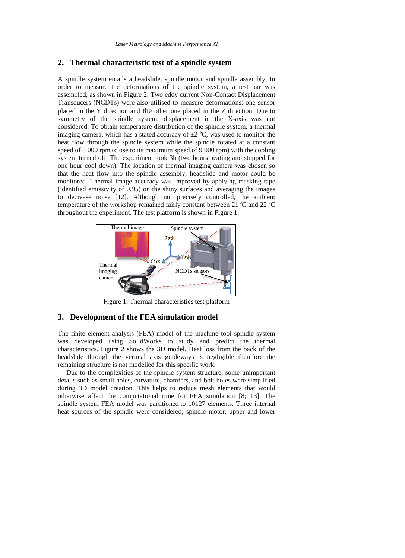#### **2. Thermal characteristic test of a spindle system**

A spindle system entails a headslide, spindle motor and spindle assembly. In order to measure the deformations of the spindle system, a test bar was assembled, as shown in [Figure 2.](#page-4-0) Two eddy current Non-Contact Displacement Transducers (NCDTs) were also utilised to measure deformations: one sensor placed in the Y direction and the other one placed in the Z direction. Due to symmetry of the spindle system, displacement in the X-axis was not considered. To obtain temperature distribution of the spindle system, a thermal imaging camera, which has a stated accuracy of  $\pm 2$  °C, was used to monitor the heat flow through the spindle system while the spindle rotated at a constant speed of 8 000 rpm (close to its maximum speed of 9 000 rpm) with the cooling system turned off. The experiment took 3h (two hours heating and stopped for one hour cool down). The location of thermal imaging camera was chosen so that the heat flow into the spindle assembly, headslide and motor could be monitored. Thermal image accuracy was improved by applying masking tape (identified emissivity of 0.95) on the shiny surfaces and averaging the images to decrease noise [\[12\]](#page-10-3). Although not precisely controlled, the ambient temperature of the workshop remained fairly constant between 21  $^{\circ}$ C and 22  $^{\circ}$ C throughout the experiment. The test platform is shown i[n Figure 1.](#page-3-0)



Figure 1. Thermal characteristics test platform

#### <span id="page-3-0"></span>**3. Development of the FEA simulation model**

The finite element analysis (FEA) model of the machine tool spindle system was developed using SolidWorks to study and predict the thermal characteristics. [Figure 2](#page-4-0) shows the 3D model. Heat loss from the back of the headslide through the vertical axis guideways is negligible therefore the remaining structure is not modelled for this specific work.

 Due to the complexities of the spindle system structure, some unimportant details such as small holes, curvature, chamfers, and bolt holes were simplified during 3D model creation. This helps to reduce mesh elements that would otherwise affect the computational time for FEA simulation [\[8;](#page-10-0) [13\]](#page-10-4). The spindle system FEA model was partitioned to 10127 elements. Three internal heat sources of the spindle were considered; spindle motor, upper and lower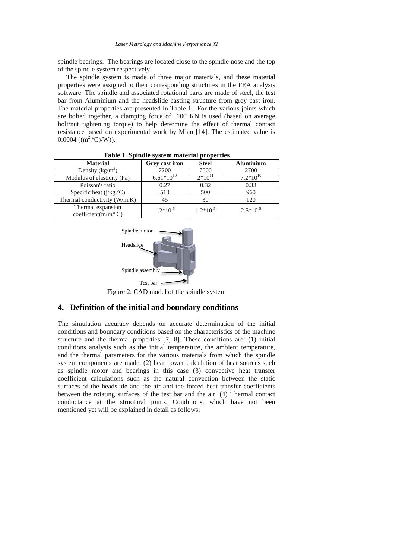spindle bearings. The bearings are located close to the spindle nose and the top of the spindle system respectively.

 The spindle system is made of three major materials, and these material properties were assigned to their corresponding structures in the FEA analysis software. The spindle and associated rotational parts are made of steel, the test bar from Aluminium and the headslide casting structure from grey cast iron. The material properties are presented in [Table 1.](#page-4-1) For the various joints which are bolted together, a clamping force of 100 KN is used (based on average bolt/nut tightening torque) to help determine the effect of thermal contact resistance based on experimental work by Mian [\[14\]](#page-10-5). The estimated value is  $0.0004$  ((m<sup>2.o</sup>C)/W)).

<span id="page-4-1"></span>

| <b>Material</b>                                         | Grey cast iron | <b>Steel</b>  | <b>Aluminium</b> |
|---------------------------------------------------------|----------------|---------------|------------------|
| Density $(kg/m^3)$                                      | 7200           | 7800          | 2700             |
| Modulus of elasticity (Pa)                              | $6.61*10^{10}$ | $2*10^{11}$   | $7.2*10^{10}$    |
| Poisson's ratio                                         | 0.27           | 0.32          | 0.33             |
| Specific heat $(j/kg.oC)$                               | 510            | 500           | 960              |
| Thermal conductivity (W/m.K)                            |                | 30            | 120              |
| Thermal expansion<br>coefficient( $m/m$ <sup>o</sup> C) | $1.2*10^{-5}$  | $1.2*10^{-5}$ | $2.5*10^{-5}$    |

**Table 1. Spindle system material properties**



Figure 2. CAD model of the spindle system

## <span id="page-4-0"></span>**4. Definition of the initial and boundary conditions**

The simulation accuracy depends on accurate determination of the initial conditions and boundary conditions based on the characteristics of the machine structure and the thermal properties [\[7;](#page-9-3) [8\]](#page-10-0). These conditions are: (1) initial conditions analysis such as the initial temperature, the ambient temperature, and the thermal parameters for the various materials from which the spindle system components are made. (2) heat power calculation of heat sources such as spindle motor and bearings in this case (3) convective heat transfer coefficient calculations such as the natural convection between the static surfaces of the headslide and the air and the forced heat transfer coefficients between the rotating surfaces of the test bar and the air. (4) Thermal contact conductance at the structural joints. Conditions, which have not been mentioned yet will be explained in detail as follows: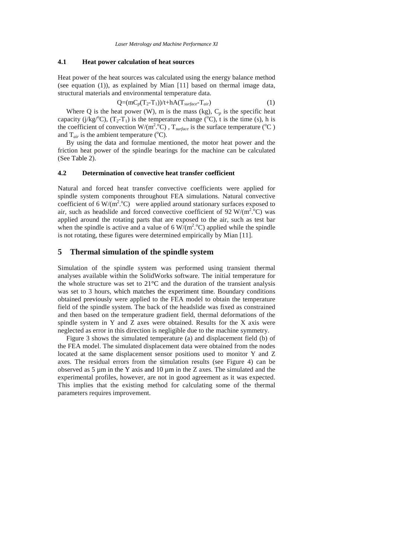#### **4.1 Heat power calculation of heat sources**

Heat power of the heat sources was calculated using the energy balance method (see equation (1)), as explained by Mian [\[11\]](#page-10-2) based on thermal image data, structural materials and environmental temperature data.

$$
Q=(mC_p(T_2-T_1))/t+hA(T_{surface}-T_{air})
$$
\n(1)

Where Q is the heat power (W), m is the mass (kg),  $C_p$  is the specific heat capacity (j/kg<sup>o</sup>C), (T<sub>2</sub>-T<sub>1</sub>) is the temperature change (<sup>o</sup>C), t is the time (s), h is the coefficient of convection  $W/(m^2 \text{°C})$ ,  $T_{surface}$  is the surface temperature (°C) and  $T_{air}$  is the ambient temperature ( $\rm ^{o}C$ ).

 By using the data and formulae mentioned, the motor heat power and the friction heat power of the spindle bearings for the machine can be calculated (See Table 2).

#### **4.2 Determination of convective heat transfer coefficient**

Natural and forced heat transfer convective coefficients were applied for spindle system components throughout FEA simulations. Natural convective coefficient of 6 W/(m<sup>2</sup>. °C) were applied around stationary surfaces exposed to air, such as headslide and forced convective coefficient of 92 W/( $m^2$ <sup>o</sup>C) was applied around the rotating parts that are exposed to the air, such as test bar when the spindle is active and a value of 6  $W/(m^2 \,^{\circ}C)$  applied while the spindle is not rotating, these figures were determined empirically by Mian [\[11\]](#page-10-2).

#### **5 Thermal simulation of the spindle system**

Simulation of the spindle system was performed using transient thermal analyses available within the SolidWorks software. The initial temperature for the whole structure was set to 21°C and the duration of the transient analysis was set to 3 hours, which matches the experiment time. Boundary conditions obtained previously were applied to the FEA model to obtain the temperature field of the spindle system. The back of the headslide was fixed as constrained and then based on the temperature gradient field, thermal deformations of the spindle system in Y and Z axes were obtained. Results for the X axis were neglected as error in this direction is negligible due to the machine symmetry.

 Figure 3 shows the simulated temperature (a) and displacement field (b) of the FEA model. The simulated displacement data were obtained from the nodes located at the same displacement sensor positions used to monitor Y and Z axes. The residual errors from the simulation results (see Figure 4) can be observed as  $5 \mu m$  in the Y axis and  $10 \mu m$  in the Z axes. The simulated and the experimental profiles, however, are not in good agreement as it was expected. This implies that the existing method for calculating some of the thermal parameters requires improvement.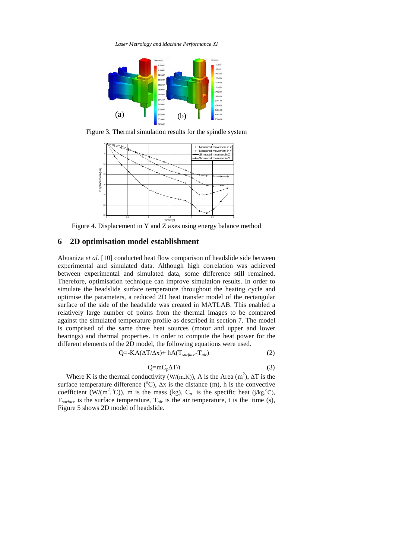*Laser Metrology and Machine Performance XI*



Figure 3. Thermal simulation results for the spindle system



Figure 4. Displacement in Y and Z axes using energy balance method

## **6 2D optimisation model establishment**

Abuaniza *et al.* [\[10\]](#page-10-1) conducted heat flow comparison of headslide side between experimental and simulated data. Although high correlation was achieved between experimental and simulated data, some difference still remained. Therefore, optimisation technique can improve simulation results. In order to simulate the headslide surface temperature throughout the heating cycle and optimise the parameters, a reduced 2D heat transfer model of the rectangular surface of the side of the headslide was created in MATLAB. This enabled a relatively large number of points from the thermal images to be compared against the simulated temperature profile as described in section 7. The model is comprised of the same three heat sources (motor and upper and lower bearings) and thermal properties. In order to compute the heat power for the different elements of the 2D model, the following equations were used.

$$
Q = KA(\Delta T/\Delta x) + hA(T_{surface} - T_{air})
$$
 (2)

$$
Q = mC_p \Delta T / t \tag{3}
$$

Where K is the thermal conductivity (W/(m.K)), A is the Area (m<sup>2</sup>),  $\Delta T$  is the surface temperature difference ( ${}^{\circ}$ C),  $\Delta x$  is the distance (m), h is the convective coefficient (W/(m<sup>2</sup>.<sup>o</sup>C)), m is the mass (kg),  $C_p$  is the specific heat (j/kg.<sup>o</sup>C), T*surface* is the surface temperature, T*air* is the air temperature, t is the time (s), Figure 5 shows 2D model of headslide.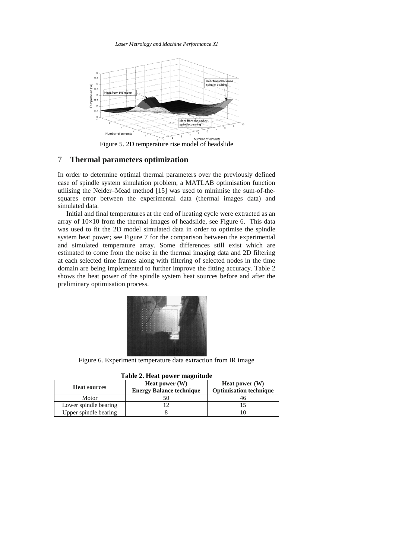*Laser Metrology and Machine Performance XI*



Figure 5. 2D temperature rise model of headslide

### 7 **Thermal parameters optimization**

In order to determine optimal thermal parameters over the previously defined case of spindle system simulation problem, a MATLAB optimisation function utilising the Nelder–Mead method [\[15\]](#page-10-6) was used to minimise the sum-of-thesquares error between the experimental data (thermal images data) and simulated data.

 Initial and final temperatures at the end of heating cycle were extracted as an array of 10×10 from the thermal images of headslide, see Figure 6. This data was used to fit the 2D model simulated data in order to optimise the spindle system heat power; see Figure 7 for the comparison between the experimental and simulated temperature array. Some differences still exist which are estimated to come from the noise in the thermal imaging data and 2D filtering at each selected time frames along with filtering of selected nodes in the time domain are being implemented to further improve the fitting accuracy. Table 2 shows the heat power of the spindle system heat sources before and after the preliminary optimisation process.



Figure 6. Experiment temperature data extraction from IR image

| Table 2. Heat power magnitude |                                 |                               |  |  |
|-------------------------------|---------------------------------|-------------------------------|--|--|
| <b>Heat sources</b>           | <b>Heat power</b> (W)           | <b>Heat power</b> (W)         |  |  |
|                               | <b>Energy Balance technique</b> | <b>Optimisation technique</b> |  |  |
| Motor                         |                                 |                               |  |  |
| Lower spindle bearing         |                                 |                               |  |  |
| Upper spindle bearing         |                                 |                               |  |  |

| Table 2. Heat power magnitude |  |  |
|-------------------------------|--|--|
|-------------------------------|--|--|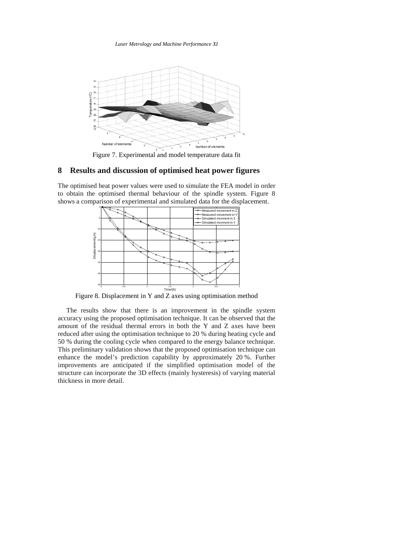*Laser Metrology and Machine Performance XI*



Figure 7. Experimental and model temperature data fit

### **8 Results and discussion of optimised heat power figures**

The optimised heat power values were used to simulate the FEA model in order to obtain the optimised thermal behaviour of the spindle system. Figure 8 shows a comparison of experimental and simulated data for the displacement.



Figure 8. Displacement in Y and Z axes using optimisation method

 The results show that there is an improvement in the spindle system accuracy using the proposed optimisation technique. It can be observed that the amount of the residual thermal errors in both the Y and Z axes have been reduced after using the optimisation technique to 20 % during heating cycle and 50 % during the cooling cycle when compared to the energy balance technique. This preliminary validation shows that the proposed optimisation technique can enhance the model's prediction capability by approximately 20 %. Further improvements are anticipated if the simplified optimisation model of the structure can incorporate the 3D effects (mainly hysteresis) of varying material thickness in more detail.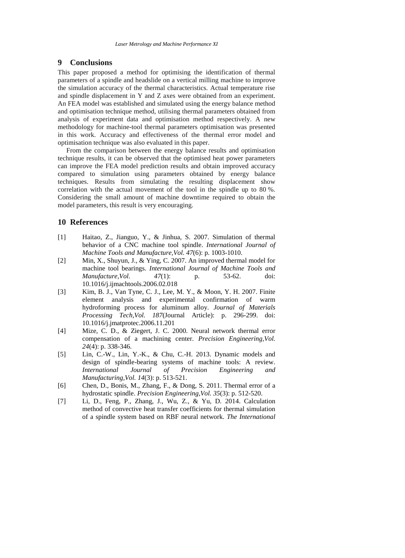#### **9 Conclusions**

This paper proposed a method for optimising the identification of thermal parameters of a spindle and headslide on a vertical milling machine to improve the simulation accuracy of the thermal characteristics. Actual temperature rise and spindle displacement in Y and Z axes were obtained from an experiment. An FEA model was established and simulated using the energy balance method and optimisation technique method, utilising thermal parameters obtained from analysis of experiment data and optimisation method respectively. A new methodology for machine-tool thermal parameters optimisation was presented in this work. Accuracy and effectiveness of the thermal error model and optimisation technique was also evaluated in this paper.

 From the comparison between the energy balance results and optimisation technique results, it can be observed that the optimised heat power parameters can improve the FEA model prediction results and obtain improved accuracy compared to simulation using parameters obtained by energy balance techniques. Results from simulating the resulting displacement show correlation with the actual movement of the tool in the spindle up to 80 %. Considering the small amount of machine downtime required to obtain the model parameters, this result is very encouraging.

## **10 References**

- <span id="page-9-0"></span>[1] Haitao, Z., Jianguo, Y., & Jinhua, S. 2007. Simulation of thermal behavior of a CNC machine tool spindle. *International Journal of Machine Tools and Manufacture,Vol. 47*(6): p. 1003-1010.
- [2] Min, X., Shuyun, J., & Ying, C. 2007. An improved thermal model for machine tool bearings. *International Journal of Machine Tools and Manufacture Vol.* 47(1): p. 53-62. doi: *Manufacture,Vol. 47*(1): p. 53-62. doi: 10.1016/j.ijmachtools.2006.02.018
- [3] Kim, B. J., Van Tyne, C. J., Lee, M. Y., & Moon, Y. H. 2007. Finite element analysis and experimental confirmation of warm hydroforming process for aluminum alloy. *Journal of Materials Processing Tech,Vol. 187*(Journal Article): p. 296-299. doi: 10.1016/j.jmatprotec.2006.11.201
- <span id="page-9-1"></span>[4] Mize, C. D., & Ziegert, J. C. 2000. Neural network thermal error compensation of a machining center. *Precision Engineering,Vol. 24*(4): p. 338-346.
- <span id="page-9-2"></span>[5] Lin, C.-W., Lin, Y.-K., & Chu, C.-H. 2013. Dynamic models and design of spindle-bearing systems of machine tools: A review. *International Journal of Precision Engineering and Manufacturing,Vol. 14*(3): p. 513-521.
- [6] Chen, D., Bonis, M., Zhang, F., & Dong, S. 2011. Thermal error of a hydrostatic spindle. *Precision Engineering,Vol. 35*(3): p. 512-520.
- <span id="page-9-3"></span>[7] Li, D., Feng, P., Zhang, J., Wu, Z., & Yu, D. 2014. Calculation method of convective heat transfer coefficients for thermal simulation of a spindle system based on RBF neural network. *The International*